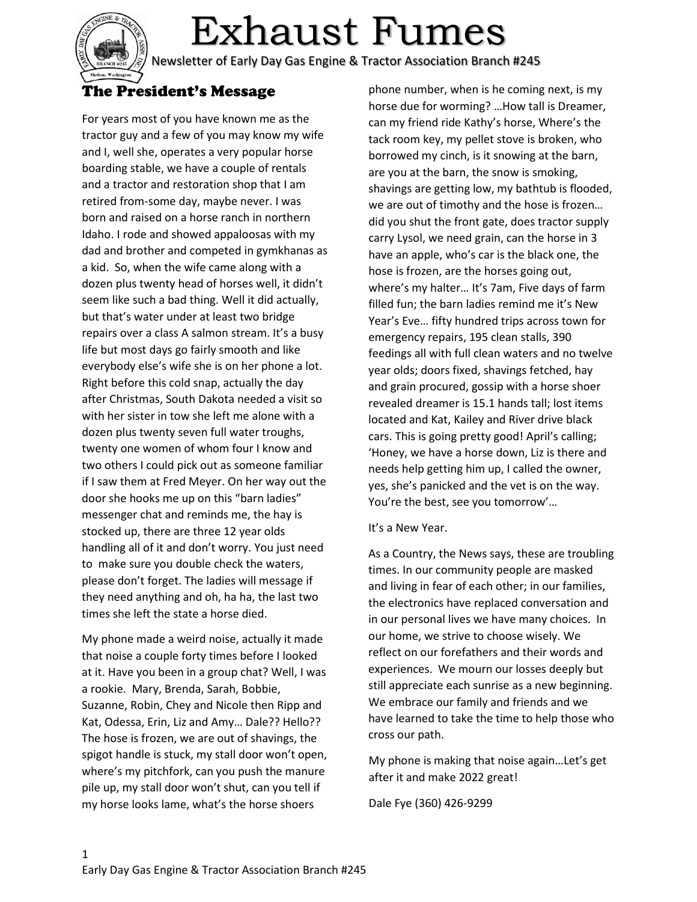

# Exhaust Fumes

Newsletter of Early Day Gas Engine & Tractor Association Branch #245

## The President's Message

For years most of you have known me as the tractor guy and a few of you may know my wife and I, well she, operates a very popular horse boarding stable, we have a couple of rentals and a tractor and restoration shop that I am retired from-some day, maybe never. I was born and raised on a horse ranch in northern Idaho. I rode and showed appaloosas with my dad and brother and competed in gymkhanas as a kid. So, when the wife came along with a dozen plus twenty head of horses well, it didn't seem like such a bad thing. Well it did actually, but that's water under at least two bridge repairs over a class A salmon stream. It's a busy life but most days go fairly smooth and like everybody else's wife she is on her phone a lot. Right before this cold snap, actually the day after Christmas, South Dakota needed a visit so with her sister in tow she left me alone with a dozen plus twenty seven full water troughs, twenty one women of whom four I know and two others I could pick out as someone familiar if I saw them at Fred Meyer. On her way out the door she hooks me up on this "barn ladies" messenger chat and reminds me, the hay is stocked up, there are three 12 year olds handling all of it and don't worry. You just need to make sure you double check the waters, please don't forget. The ladies will message if they need anything and oh, ha ha, the last two times she left the state a horse died.

My phone made a weird noise, actually it made that noise a couple forty times before I looked at it. Have you been in a group chat? Well, I was a rookie. Mary, Brenda, Sarah, Bobbie, Suzanne, Robin, Chey and Nicole then Ripp and Kat, Odessa, Erin, Liz and Amy… Dale?? Hello?? The hose is frozen, we are out of shavings, the spigot handle is stuck, my stall door won't open, where's my pitchfork, can you push the manure pile up, my stall door won't shut, can you tell if my horse looks lame, what's the horse shoers

phone number, when is he coming next, is my horse due for worming? …How tall is Dreamer, can my friend ride Kathy's horse, Where's the tack room key, my pellet stove is broken, who borrowed my cinch, is it snowing at the barn, are you at the barn, the snow is smoking, shavings are getting low, my bathtub is flooded, we are out of timothy and the hose is frozen… did you shut the front gate, does tractor supply carry Lysol, we need grain, can the horse in 3 have an apple, who's car is the black one, the hose is frozen, are the horses going out, where's my halter… It's 7am, Five days of farm filled fun; the barn ladies remind me it's New Year's Eve… fifty hundred trips across town for emergency repairs, 195 clean stalls, 390 feedings all with full clean waters and no twelve year olds; doors fixed, shavings fetched, hay and grain procured, gossip with a horse shoer revealed dreamer is 15.1 hands tall; lost items located and Kat, Kailey and River drive black cars. This is going pretty good! April's calling; 'Honey, we have a horse down, Liz is there and needs help getting him up, I called the owner, yes, she's panicked and the vet is on the way. You're the best, see you tomorrow'…

#### It's a New Year.

As a Country, the News says, these are troubling times. In our community people are masked and living in fear of each other; in our families, the electronics have replaced conversation and in our personal lives we have many choices. In our home, we strive to choose wisely. We reflect on our forefathers and their words and experiences. We mourn our losses deeply but still appreciate each sunrise as a new beginning. We embrace our family and friends and we have learned to take the time to help those who cross our path.

My phone is making that noise again…Let's get after it and make 2022 great!

Dale Fye (360) 426-9299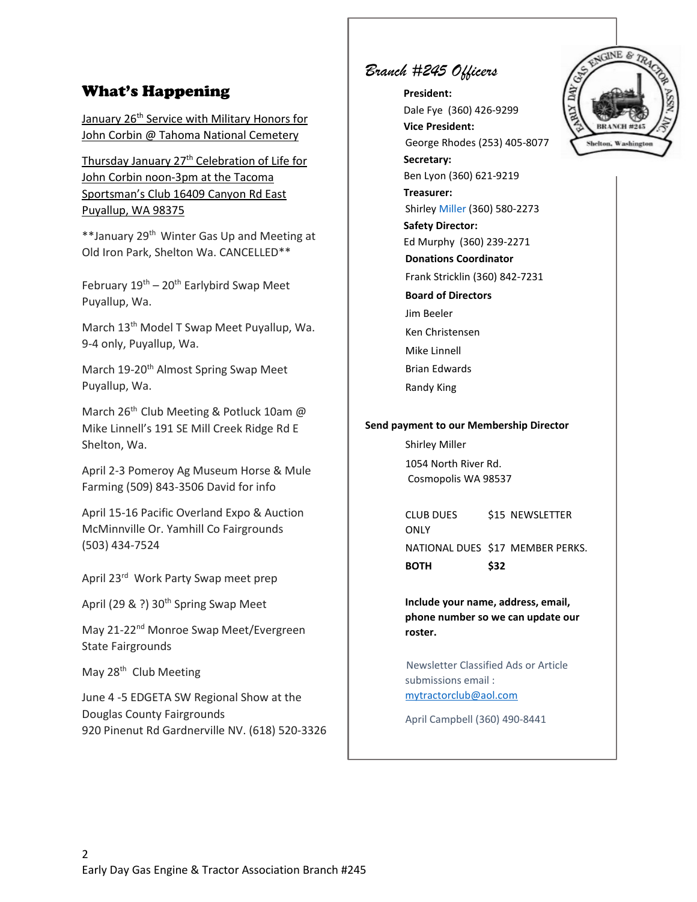## What's Happening

January 26<sup>th</sup> Service with Military Honors for John Corbin @ Tahoma National Cemetery

Thursday January 27<sup>th</sup> Celebration of Life for John Corbin noon-3pm at the Tacoma Sportsman's Club 16409 Canyon Rd East Puyallup, WA 98375

\*\*January 29th Winter Gas Up and Meeting at Old Iron Park, Shelton Wa. CANCELLED\*\*

February  $19^{th}$  –  $20^{th}$  Earlybird Swap Meet Puyallup, Wa.

March 13<sup>th</sup> Model T Swap Meet Puyallup, Wa. 9-4 only, Puyallup, Wa.

March 19-20<sup>th</sup> Almost Spring Swap Meet Puyallup, Wa.

March 26<sup>th</sup> Club Meeting & Potluck 10am @ Mike Linnell's 191 SE Mill Creek Ridge Rd E Shelton, Wa.

April 2-3 Pomeroy Ag Museum Horse & Mule Farming (509) 843-3506 David for info

April 15-16 Pacific Overland Expo & Auction McMinnville Or. Yamhill Co Fairgrounds (503) 434-7524

April 23rd Work Party Swap meet prep

April (29 & ?) 30<sup>th</sup> Spring Swap Meet

May 21-22nd Monroe Swap Meet/Evergreen State Fairgrounds

May 28<sup>th</sup> Club Meeting

June 4 -5 EDGETA SW Regional Show at the Douglas County Fairgrounds 920 Pinenut Rd Gardnerville NV. (618) 520-3326

# *Branch #245 Officers*

**President:** Dale Fye (360) 426-9299 **Vice President:** George Rhodes (253) 405-8077 **Secretary:** Ben Lyon (360) 621-9219 **Treasurer:** Shirley Miller (360) 580-2273 **Safety Director:** Ed Murphy (360) 239-2271 **Donations Coordinator**  Frank Stricklin (360) 842-7231 **Board of Directors**  Jim Beeler Ken Christensen Mike Linnell Brian Edwards Randy King

#### **Send payment to our Membership Director**

Shirley Miller 1054 North River Rd. Cosmopolis WA 98537

CLUB DUES \$15 NEWSLETTER ONLY NATIONAL DUES \$17 MEMBER PERKS. **BOTH \$32**

**Include your name, address, email, phone number so we can update our roster.**

Newsletter Classified Ads or Article submissions email : [mytractorclub@aol.com](mailto:mytractorclub@aol.com)

April Campbell (360) 490-8441

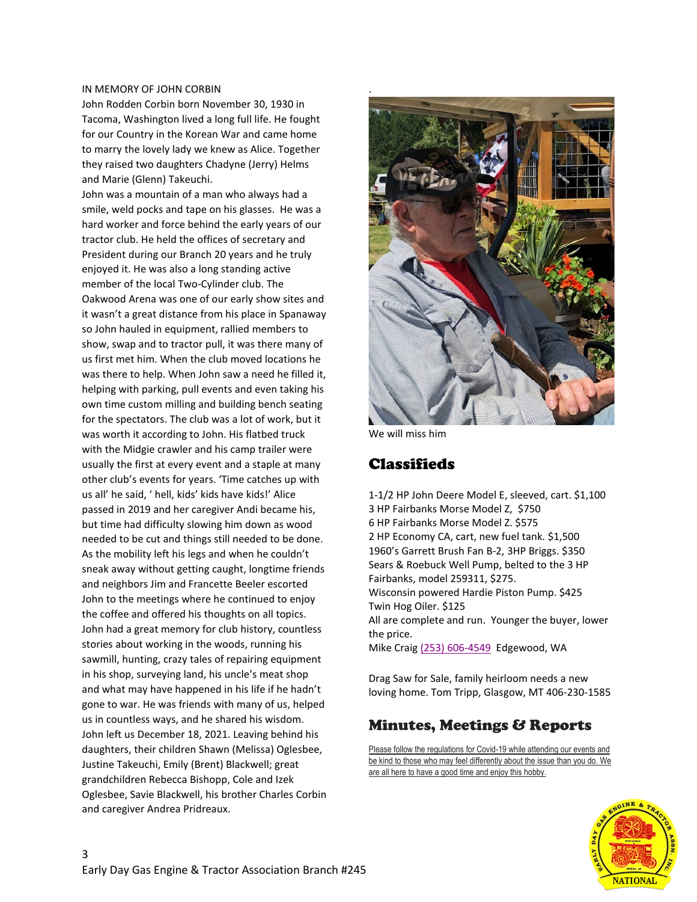#### IN MEMORY OF JOHN CORBIN

John Rodden Corbin born November 30, 1930 in Tacoma, Washington lived a long full life. He fought for our Country in the Korean War and came home to marry the lovely lady we knew as Alice. Together they raised two daughters Chadyne (Jerry) Helms and Marie (Glenn) Takeuchi.

John was a mountain of a man who always had a smile, weld pocks and tape on his glasses. He was a hard worker and force behind the early years of our tractor club. He held the offices of secretary and President during our Branch 20 years and he truly enjoyed it. He was also a long standing active member of the local Two-Cylinder club. The Oakwood Arena was one of our early show sites and it wasn't a great distance from his place in Spanaway so John hauled in equipment, rallied members to show, swap and to tractor pull, it was there many of us first met him. When the club moved locations he was there to help. When John saw a need he filled it, helping with parking, pull events and even taking his own time custom milling and building bench seating for the spectators. The club was a lot of work, but it was worth it according to John. His flatbed truck with the Midgie crawler and his camp trailer were usually the first at every event and a staple at many other club's events for years. 'Time catches up with us all' he said, ' hell, kids' kids have kids!' Alice passed in 2019 and her caregiver Andi became his, but time had difficulty slowing him down as wood needed to be cut and things still needed to be done. As the mobility left his legs and when he couldn't sneak away without getting caught, longtime friends and neighbors Jim and Francette Beeler escorted John to the meetings where he continued to enjoy the coffee and offered his thoughts on all topics. John had a great memory for club history, countless stories about working in the woods, running his sawmill, hunting, crazy tales of repairing equipment in his shop, surveying land, his uncle's meat shop and what may have happened in his life if he hadn't gone to war. He was friends with many of us, helped us in countless ways, and he shared his wisdom. John left us December 18, 2021. Leaving behind his daughters, their children Shawn (Melissa) Oglesbee, Justine Takeuchi, Emily (Brent) Blackwell; great grandchildren Rebecca Bishopp, Cole and Izek Oglesbee, Savie Blackwell, his brother Charles Corbin and caregiver Andrea Pridreaux.



We will miss him

## Classifieds

1-1/2 HP John Deere Model E, sleeved, cart. \$1,100 3 HP Fairbanks Morse Model Z, \$750 6 HP Fairbanks Morse Model Z. \$575 2 HP Economy CA, cart, new fuel tank. \$1,500 1960's Garrett Brush Fan B-2, 3HP Briggs. \$350 Sears & Roebuck Well Pump, belted to the 3 HP Fairbanks, model 259311, \$275. Wisconsin powered Hardie Piston Pump. \$425 Twin Hog Oiler. \$125 All are complete and run. Younger the buyer, lower the price. Mike Craig (253) 606-4549 Edgewood, WA

Drag Saw for Sale, family heirloom needs a new loving home. Tom Tripp, Glasgow, MT 406-230-1585

## Minutes, Meetings & Reports

Please follow the regulations for Covid-19 while attending our events and be kind to those who may feel differently about the issue than you do. We are all here to have a good time and enjoy this hobby.